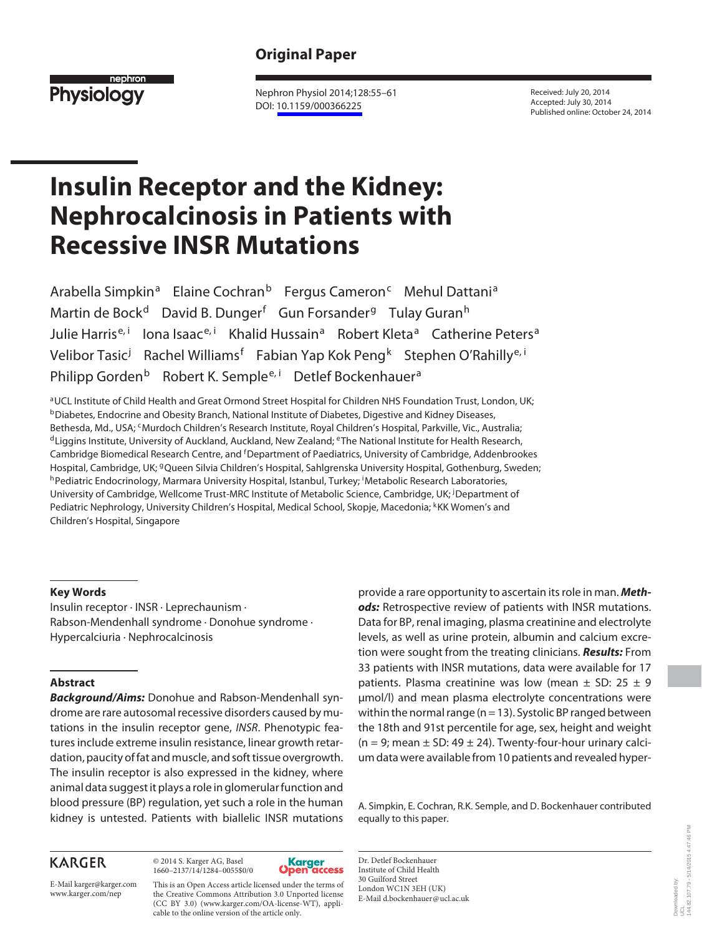# **Original Paper**



 Nephron Physiol 2014;128:55–61 DOI: [10.1159/000366225](http://dx.doi.org/10.1159%2F000366225)

 Received: July 20, 2014 Accepted: July 30, 2014 Published online: October 24, 2014

# **Insulin Receptor and the Kidney: Nephrocalcinosis in Patients with Recessive INSR Mutations**

Arabella Simpkin<sup>a</sup> Elaine Cochran<sup>b</sup> Fergus Cameron<sup>c</sup> Mehul Dattani<sup>a</sup> Martin de Bock<sup>d</sup> David B. Dunger<sup>f</sup> Gun Forsander<sup>g</sup> Tulay Guran<sup>h</sup> Julie Harris<sup>e, i</sup> lona Isaac<sup>e, i</sup> Khalid Hussain<sup>a</sup> Robert Kleta<sup>a</sup> Catherine Peters<sup>a</sup> Velibor Tasic<sup>j</sup> Rachel Williams<sup>f</sup> Fabian Yap Kok Peng<sup>k</sup> Stephen O'Rahilly<sup>e, i</sup> Philipp Gorden<sup>b</sup> Robert K. Semple<sup>e, i</sup> Detlef Bockenhauer<sup>a</sup>

a UCL Institute of Child Health and Great Ormond Street Hospital for Children NHS Foundation Trust, London, UK; b Diabetes, Endocrine and Obesity Branch, National Institute of Diabetes, Digestive and Kidney Diseases, Bethesda, Md., USA; <sup>c</sup>Murdoch Children's Research Institute, Royal Children's Hospital, Parkville, Vic., Australia;<br><sup>d</sup>Liggins Institute, University of Auckland, Auckland, New Zealand; <sup>e</sup>The National Institute for Health Cambridge Biomedical Research Centre, and <sup>f</sup> Department of Paediatrics, University of Cambridge, Addenbrookes Hospital, Cambridge, UK; <sup>g</sup> Queen Silvia Children's Hospital, Sahlgrenska University Hospital, Gothenburg, Sweden; h Pediatric Endocrinology, Marmara University Hospital, Istanbul, Turkey; Metabolic Research Laboratories, University of Cambridge, Wellcome Trust-MRC Institute of Metabolic Science, Cambridge, UK; <sup>j</sup> Department of Pediatric Nephrology, University Children's Hospital, Medical School, Skopje, Macedonia; <sup>k</sup>KK Women's and Children's Hospital, Singapore

#### **Key Words**

 Insulin receptor · INSR · Leprechaunism · Rabson-Mendenhall syndrome · Donohue syndrome · Hypercalciuria · Nephrocalcinosis

#### **Abstract**

*Background/Aims:* Donohue and Rabson-Mendenhall syndrome are rare autosomal recessive disorders caused by mutations in the insulin receptor gene, INSR. Phenotypic features include extreme insulin resistance, linear growth retardation, paucity of fat and muscle, and soft tissue overgrowth. The insulin receptor is also expressed in the kidney, where animal data suggest it plays a role in glomerular function and blood pressure (BP) regulation, yet such a role in the human kidney is untested. Patients with biallelic INSR mutations

# **KARGER**

 © 2014 S. Karger AG, Basel 1660–2137/14/1284–0055\$0/0



E-Mail karger@karger.com

www.karger.com/nep the Creative Commons Attribution 3.0 Unported license E-Mail d.bockenhauer@ucl.ac.uk This is an Open Access article licensed under the terms of (CC BY 3.0) (www.karger.com/OA-license-WT), applicable to the online version of the article only.

provide a rare opportunity to ascertain its role in man. *Methods:* Retrospective review of patients with INSR mutations. Data for BP, renal imaging, plasma creatinine and electrolyte levels, as well as urine protein, albumin and calcium excretion were sought from the treating clinicians. *Results:* From 33 patients with INSR mutations, data were available for 17 patients. Plasma creatinine was low (mean  $\pm$  SD: 25  $\pm$  9 μmol/l) and mean plasma electrolyte concentrations were within the normal range ( $n = 13$ ). Systolic BP ranged between the 18th and 91st percentile for age, sex, height and weight ( $n = 9$ ; mean  $\pm$  SD: 49  $\pm$  24). Twenty-four-hour urinary calcium data were available from 10 patients and revealed hyper-

 A. Simpkin, E. Cochran, R.K. Semple, and D. Bockenhauer contributed equally to this paper.

Downloaded by: Downloadeu 19;<br>UCL<br>144.82.107.79 - 5/14/2015 4:47:46 PM 144.82.107.79 - 5/14/2015 4:47:46 PM

 Dr. Detlef Bockenhauer Institute of Child Health 30 Guilford Street London WC1N 3EH (UK)<br>E-Mail d.bockenhauer@ucl.ac.uk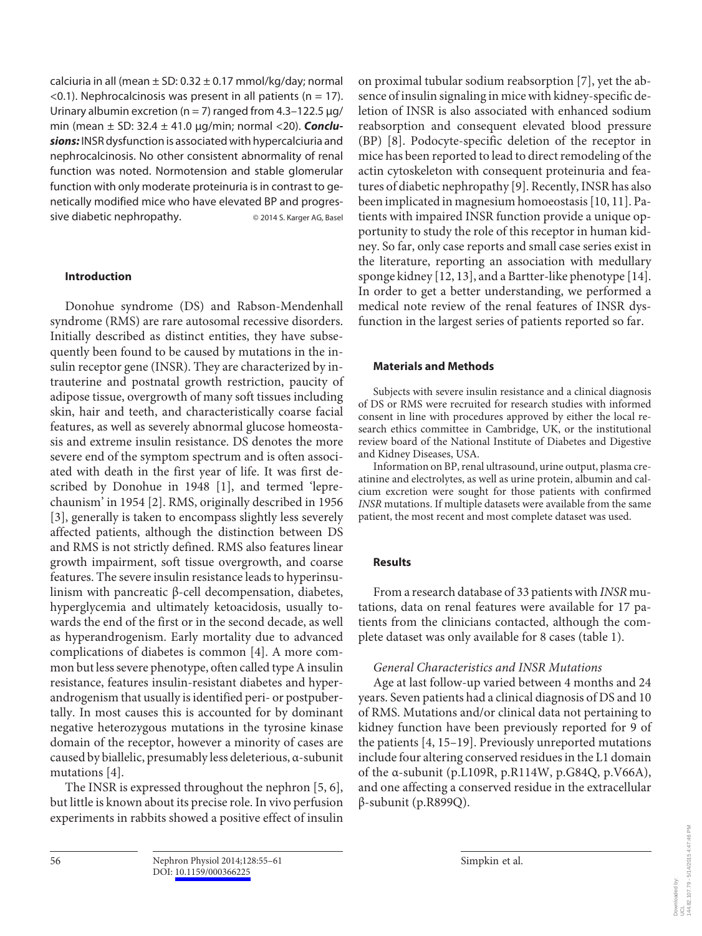calciuria in all (mean  $\pm$  SD: 0.32  $\pm$  0.17 mmol/kg/day; normal  $<$  0.1). Nephrocalcinosis was present in all patients (n = 17). Urinary albumin excretion ( $n = 7$ ) ranged from 4.3-122.5  $\mu$ g/ min (mean ± SD: 32.4 ± 41.0 μg/min; normal <20). *Conclusions:* INSR dysfunction is associated with hypercalciuria and nephrocalcinosis. No other consistent abnormality of renal function was noted. Normotension and stable glomerular function with only moderate proteinuria is in contrast to genetically modified mice who have elevated BP and progressive diabetic nephropathy.  $\circ$  2014 S. Karger AG, Basel

### **Introduction**

 Donohue syndrome (DS) and Rabson-Mendenhall syndrome (RMS) are rare autosomal recessive disorders. Initially described as distinct entities, they have subsequently been found to be caused by mutations in the insulin receptor gene (INSR). They are characterized by intrauterine and postnatal growth restriction, paucity of adipose tissue, overgrowth of many soft tissues including skin, hair and teeth, and characteristically coarse facial features, as well as severely abnormal glucose homeostasis and extreme insulin resistance. DS denotes the more severe end of the symptom spectrum and is often associated with death in the first year of life. It was first described by Donohue in 1948 [1], and termed 'leprechaunism' in 1954 [2] . RMS, originally described in 1956 [3], generally is taken to encompass slightly less severely affected patients, although the distinction between DS and RMS is not strictly defined. RMS also features linear growth impairment, soft tissue overgrowth, and coarse features. The severe insulin resistance leads to hyperinsulinism with pancreatic β-cell decompensation, diabetes, hyperglycemia and ultimately ketoacidosis, usually towards the end of the first or in the second decade, as well as hyperandrogenism. Early mortality due to advanced complications of diabetes is common [4]. A more common but less severe phenotype, often called type A insulin resistance, features insulin-resistant diabetes and hyperandrogenism that usually is identified peri- or postpubertally. In most causes this is accounted for by dominant negative heterozygous mutations in the tyrosine kinase domain of the receptor, however a minority of cases are caused by biallelic, presumably less deleterious, α-subunit mutations  $[4]$ .

The INSR is expressed throughout the nephron [5, 6], but little is known about its precise role. In vivo perfusion experiments in rabbits showed a positive effect of insulin on proximal tubular sodium reabsorption [7] , yet the absence of insulin signaling in mice with kidney-specific deletion of INSR is also associated with enhanced sodium reabsorption and consequent elevated blood pressure (BP) [8]. Podocyte-specific deletion of the receptor in mice has been reported to lead to direct remodeling of the actin cytoskeleton with consequent proteinuria and features of diabetic nephropathy [9] . Recently, INSR has also been implicated in magnesium homoeostasis [10, 11] . Patients with impaired INSR function provide a unique opportunity to study the role of this receptor in human kidney. So far, only case reports and small case series exist in the literature, reporting an association with medullary sponge kidney [12, 13], and a Bartter-like phenotype [14]. In order to get a better understanding, we performed a medical note review of the renal features of INSR dysfunction in the largest series of patients reported so far.

### **Materials and Methods**

 Subjects with severe insulin resistance and a clinical diagnosis of DS or RMS were recruited for research studies with informed consent in line with procedures approved by either the local research ethics committee in Cambridge, UK, or the institutional review board of the National Institute of Diabetes and Digestive and Kidney Diseases, USA.

 Information on BP, renal ultrasound, urine output, plasma creatinine and electrolytes, as well as urine protein, albumin and calcium excretion were sought for those patients with confirmed *INSR* mutations. If multiple datasets were available from the same patient, the most recent and most complete dataset was used.

## **Results**

 From a research database of 33 patients with *INSR* mutations, data on renal features were available for 17 patients from the clinicians contacted, although the complete dataset was only available for 8 cases (table 1).

# *General Characteristics and INSR Mutations*

 Age at last follow-up varied between 4 months and 24 years. Seven patients had a clinical diagnosis of DS and 10 of RMS. Mutations and/or clinical data not pertaining to kidney function have been previously reported for 9 of the patients [4, 15-19]. Previously unreported mutations include four altering conserved residues in the L1 domain of the α-subunit (p.L109R, p.R114W, p.G84Q, p.V66A), and one affecting a conserved residue in the extracellular β-subunit (p.R899Q).

Downloaded by: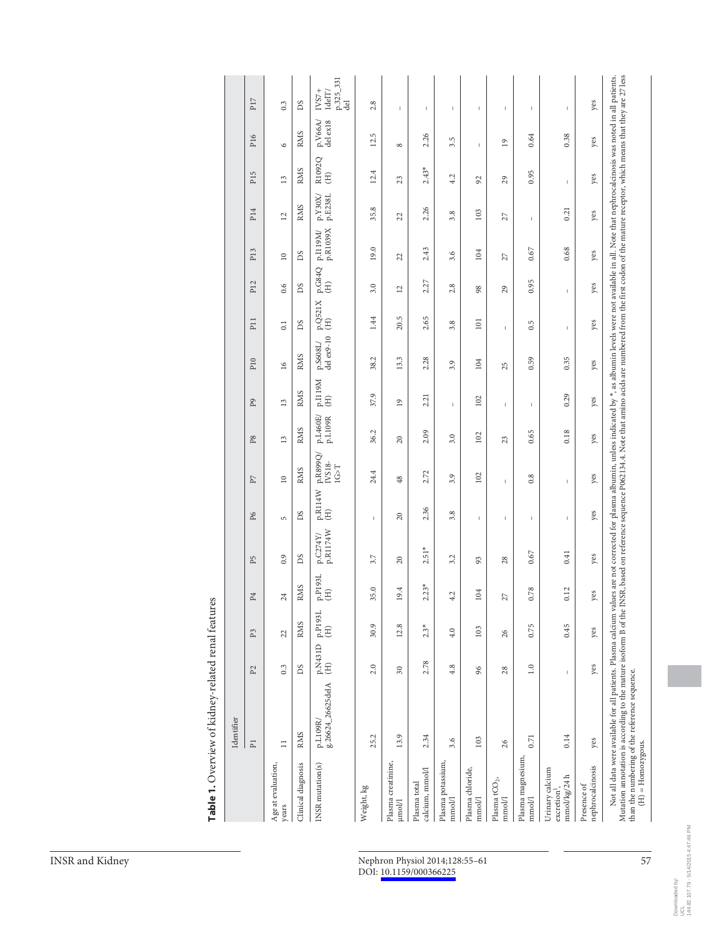|                                                           | Identifier                                                                                                                                                                                                                                                                                                                                                                                                                                                                                                       |                |                                   |                |                        |                          |                                           |                     |                 |                        |                          |                 |                      |                                                |                           |                     |                                       |
|-----------------------------------------------------------|------------------------------------------------------------------------------------------------------------------------------------------------------------------------------------------------------------------------------------------------------------------------------------------------------------------------------------------------------------------------------------------------------------------------------------------------------------------------------------------------------------------|----------------|-----------------------------------|----------------|------------------------|--------------------------|-------------------------------------------|---------------------|-----------------|------------------------|--------------------------|-----------------|----------------------|------------------------------------------------|---------------------------|---------------------|---------------------------------------|
|                                                           | $\overline{\text{P}}$                                                                                                                                                                                                                                                                                                                                                                                                                                                                                            | $\mathbb{P}2$  | P <sub>3</sub>                    | P <sub>4</sub> | P5                     | P6                       | P2                                        | P8                  | P <sub>9</sub>  | P <sub>10</sub>        | P <sub>11</sub>          | P <sub>12</sub> | P13                  | P14                                            | P <sub>15</sub>           | P16                 | P <sub>17</sub>                       |
| Age at evaluation,<br>years                               | $\Box$                                                                                                                                                                                                                                                                                                                                                                                                                                                                                                           | 0.3            | 22                                | 24             | 0.9                    | $\sqrt{2}$               | $\overline{10}$                           | 13                  | 13              | 16                     | $\overline{0}$           | 0.6             | $\overline{10}$      | 12                                             | $\overline{13}$           | $\circ$             | 0.3                                   |
| Clinical diagnosis                                        | <b>RMS</b>                                                                                                                                                                                                                                                                                                                                                                                                                                                                                                       | DS             | <b>RMS</b>                        | <b>RMS</b>     | DS                     | <b>DS</b>                | <b>RMS</b>                                | <b>RMS</b>          | <b>RMS</b>      | <b>RMS</b>             | <b>DS</b>                | DS              | <b>DS</b>            | <b>RMS</b>                                     | <b>RMS</b>                | <b>RMS</b>          | <b>DS</b>                             |
| INSR mutation(s)                                          | g.26624_26625delA<br>p.L109R/                                                                                                                                                                                                                                                                                                                                                                                                                                                                                    | p.N431D<br>(H) | p.P193L<br>$\widehat{\mathbb{H}}$ | p.P193L<br>E   | p.R1174W<br>$p.C274Y/$ | p.R114W<br>$\widehat{E}$ | p.R899Q/<br>IVS18-<br>$1\mbox{G}\mbox{F}$ | p.L460E/<br>p.L109R | p.I119M<br>E    | del ex9-10<br>p.S608L/ | p.Q521X<br>$\widehat{E}$ | p.G84Q<br>E     | p.R1039X<br>p.I119M/ | p.E238L<br>$\ensuremath{\text{p.Y30X}}\xspace$ | R1092Q<br>$\widehat{\Xi}$ | p.V66A/<br>del ex18 | p.325_331<br>del<br>$NST +$<br>1delT/ |
| Weight, kg                                                | 25.2                                                                                                                                                                                                                                                                                                                                                                                                                                                                                                             | 2.0            | 30.9                              | 35.0           | 3.7                    | $\bar{1}$                | 24.4                                      | 36.2                | 37.9            | 38.2                   | 1.44                     | 3.0             | 19.0                 | 35.8                                           | 12.4                      | 12.5                | 2.8                                   |
| Plasma creatinine,<br>$\upmu \text{mol} / \upmu$          | 13.9                                                                                                                                                                                                                                                                                                                                                                                                                                                                                                             | $30\,$         | 12.8                              | 19.4           | 20                     | 20                       | 48                                        | 20                  | $\overline{19}$ | 13.3                   | 20.5                     | 12              | 22                   | 22                                             | 23                        | $^{\circ}$          | I                                     |
| calcium, mmol/l<br>Plasma total                           | 2.34                                                                                                                                                                                                                                                                                                                                                                                                                                                                                                             | 2.78           | $2.3*$                            | $23*$          | $2.51*$                | 2.36                     | 2.72                                      | 2.09                | 2.21            | 2.28                   | 2.65                     | 2.27            | 2.43                 | 2.26                                           | $2.43*$                   | 2.26                | $\mathbb{I}$                          |
| Plasma potassium,<br>$\mbox{mmol/l}$                      | 3.6                                                                                                                                                                                                                                                                                                                                                                                                                                                                                                              | 4.8            | 4.0                               | 4.2            | 3.2                    | 3.8                      | 3.9                                       | 3.0                 | Ĭ.              | 3.9                    | 3.8                      | 2.8             | 3.6                  | 3.8                                            | 4.2                       | 3.5                 | I                                     |
| Plasma chloride,<br>$\mbox{mmol/l}$                       | 103                                                                                                                                                                                                                                                                                                                                                                                                                                                                                                              | 96             | 103                               | 104            | 93                     | I.                       | 102                                       | 102                 | 102             | 104                    | $101\,$                  | 98              | 104                  | 103                                            | 92                        | I.                  | I.                                    |
| Plasma tCO <sub>2</sub> ,<br>mmol/l                       | 26                                                                                                                                                                                                                                                                                                                                                                                                                                                                                                               | 28             | 26                                | 27             | 28                     | Ĭ.                       | Ï                                         | 23                  | Ĭ.              | 25                     | Ï                        | 29              | 27                   | 27                                             | 29                        | $\overline{19}$     | $\mathbb{I}$                          |
| Plasma magnesium,<br>$\mbox{mmol/l}$                      | 0.71                                                                                                                                                                                                                                                                                                                                                                                                                                                                                                             | 1.0            | 0.75                              | .78            | 0.67                   | $\mathbf{I}$             | 0.8                                       | 0.65                | I.              | 0.59                   | $0.\overline{5}$         | 0.95            | 0.67                 | $\mathsf I$                                    | 0.95                      | 0.64                | I.                                    |
| Urinary calcium<br>mmol/kg/24 h<br>excretion <sup>1</sup> | 0.14                                                                                                                                                                                                                                                                                                                                                                                                                                                                                                             | I              | 0.45                              | 0.12           | 0.41                   | I.                       | I                                         | 0.18                | 0.29            | 0.35                   | I                        | $\mathsf I$     | 0.68                 | 0.21                                           | L                         | 0.38                | I.                                    |
| nephrocalcinosis<br>Presence of                           | yes                                                                                                                                                                                                                                                                                                                                                                                                                                                                                                              | yes            | yes                               | res            | yes                    | yes                      | yes                                       | yes                 | yes             | yes                    | yes                      | yes             | yes                  | yes                                            | yes                       | yes                 | yes                                   |
| $(H) = Homozygous.$                                       | Not all data were available for all patients. Plasma calcium values are not corrected for plasma albumin, unless indicated by *, as albumin levels were not available in all. Note that nephrocalcinosis was noted in all pati<br>Mutation amotation is according to the mature isoform B of the INSR, based on reference sequence P062134.4. Note that amino acids are numbered from the first codon of the mature receptor, which means that they are 27 less<br>than the numbering of the reference sequence. |                |                                   |                |                        |                          |                                           |                     |                 |                        |                          |                 |                      |                                                |                           |                     |                                       |

Table 1. Overview of kidney-related renal features  **Table 1.** Overview of kidney-related renal features

INSR and Kidney Nephron Physiol 2014;128:55–61 DOI: [10.1159/000366225](http://dx.doi.org/10.1159%2F000366225)

 $\frac{1}{57}$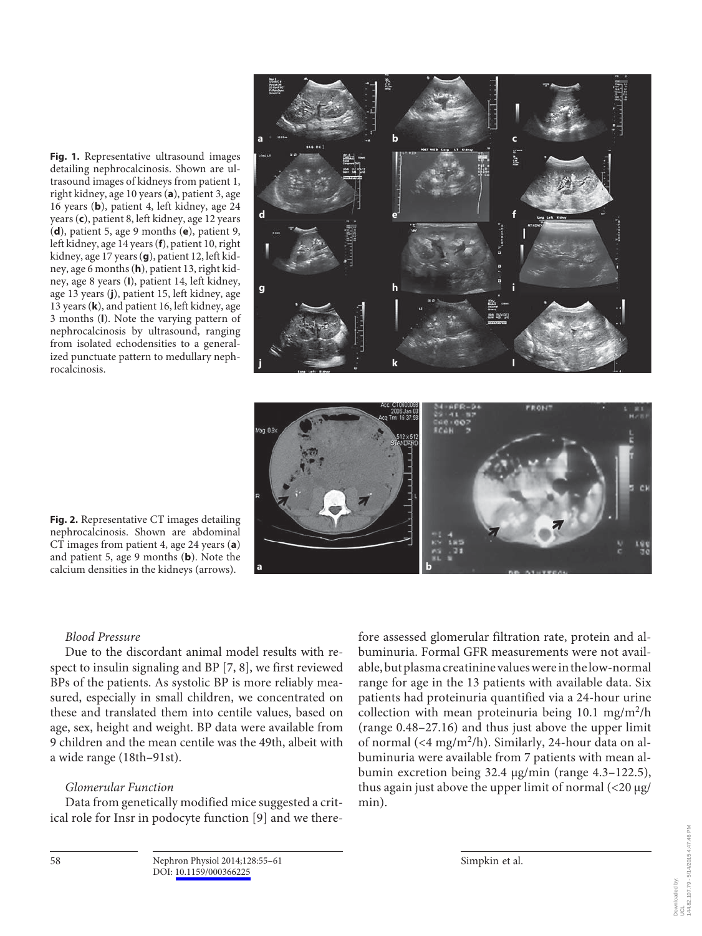**Fig. 1.** Representative ultrasound images detailing nephrocalcinosis. Shown are ultrasound images of kidneys from patient 1, right kidney, age 10 years ( **a** ), patient 3, age 16 years (**b**), patient 4, left kidney, age 24 years (c), patient 8, left kidney, age 12 years ( **d** ), patient 5, age 9 months ( **e** ), patient 9, left kidney, age 14 years (f), patient 10, right kidney, age 17 years (g), patient 12, left kidney, age 6 months (**h**), patient 13, right kidney, age 8 years (I), patient 14, left kidney, age 13 years (j), patient 15, left kidney, age 13 years (k), and patient 16, left kidney, age 3 months (I). Note the varying pattern of nephrocalcinosis by ultrasound, ranging from isolated echodensities to a generalized punctuate pattern to medullary nephrocalcinosis.



**a b**

**Fig. 2.** Representative CT images detailing nephrocalcinosis. Shown are abdominal CT images from patient 4, age 24 years ( **a** ) and patient 5, age 9 months (**b**). Note the calcium densities in the kidneys (arrows).

### *Blood Pressure*

 Due to the discordant animal model results with respect to insulin signaling and BP  $[7, 8]$ , we first reviewed BPs of the patients. As systolic BP is more reliably measured, especially in small children, we concentrated on these and translated them into centile values, based on age, sex, height and weight. BP data were available from 9 children and the mean centile was the 49th, albeit with a wide range (18th–91st).

#### *Glomerular Function*

 Data from genetically modified mice suggested a critical role for Insr in podocyte function [9] and we therefore assessed glomerular filtration rate, protein and albuminuria. Formal GFR measurements were not available, but plasma creatinine values were in the low-normal range for age in the 13 patients with available data. Six patients had proteinuria quantified via a 24-hour urine collection with mean proteinuria being 10.1 mg/m<sup>2</sup>/h (range 0.48–27.16) and thus just above the upper limit of normal (<4 mg/m<sup>2</sup>/h). Similarly, 24-hour data on albuminuria were available from 7 patients with mean albumin excretion being 32.4 μg/min (range 4.3–122.5), thus again just above the upper limit of normal (<20 μg/ min).

Downloaded by:

Nephron Physiol 2014;128:55–61 Simpkin et al. DOI: [10.1159/000366225](http://dx.doi.org/10.1159%2F000366225)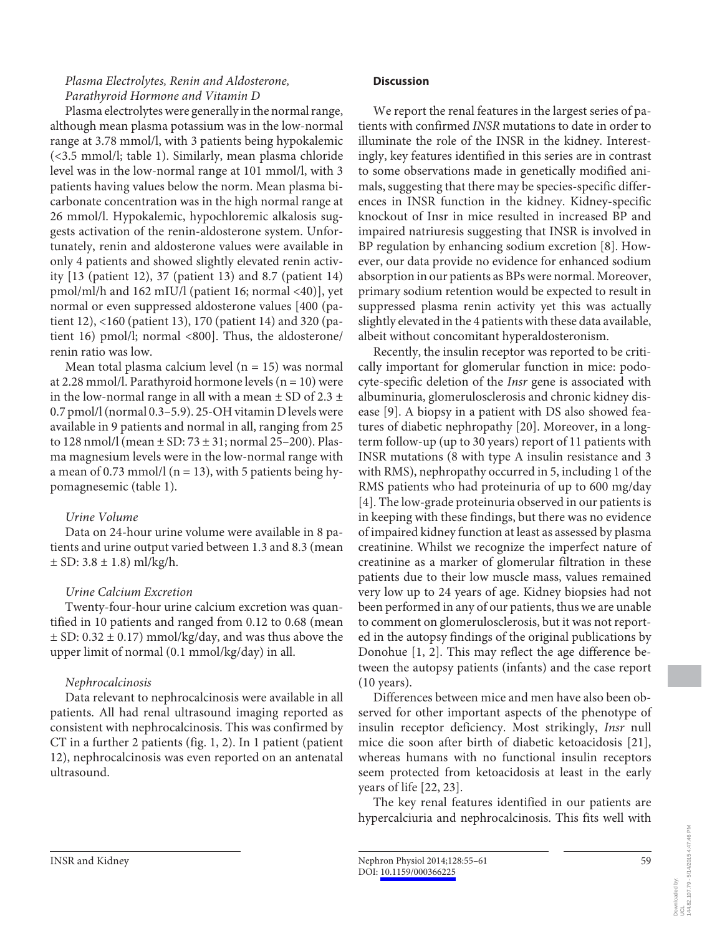## *Plasma Electrolytes, Renin and Aldosterone, Parathyroid Hormone and Vitamin D*

 Plasma electrolytes were generally in the normal range, although mean plasma potassium was in the low-normal range at 3.78 mmol/l, with 3 patients being hypokalemic  $\langle$  <3.5 mmol/l; table 1). Similarly, mean plasma chloride level was in the low-normal range at 101 mmol/l, with 3 patients having values below the norm. Mean plasma bicarbonate concentration was in the high normal range at 26 mmol/l. Hypokalemic, hypochloremic alkalosis suggests activation of the renin-aldosterone system. Unfortunately, renin and aldosterone values were available in only 4 patients and showed slightly elevated renin activity [13 (patient 12), 37 (patient 13) and 8.7 (patient 14) pmol/ml/h and 162 mIU/l (patient 16; normal <40)], yet normal or even suppressed aldosterone values [400 (patient 12), <160 (patient 13), 170 (patient 14) and 320 (patient 16) pmol/l; normal <800]. Thus, the aldosterone/ renin ratio was low.

Mean total plasma calcium level  $(n = 15)$  was normal at 2.28 mmol/l. Parathyroid hormone levels ( $n = 10$ ) were in the low-normal range in all with a mean  $\pm$  SD of 2.3  $\pm$ 0.7 pmol/l (normal 0.3–5.9). 25-OH vitamin D levels were available in 9 patients and normal in all, ranging from 25 to 128 nmol/l (mean  $\pm$  SD: 73  $\pm$  31; normal 25–200). Plasma magnesium levels were in the low-normal range with a mean of 0.73 mmol/l ( $n = 13$ ), with 5 patients being hypomagnesemic (table 1).

## *Urine Volume*

 Data on 24-hour urine volume were available in 8 patients and urine output varied between 1.3 and 8.3 (mean  $\pm$  SD: 3.8  $\pm$  1.8) ml/kg/h.

# *Urine Calcium Excretion*

 Twenty-four-hour urine calcium excretion was quantified in 10 patients and ranged from 0.12 to 0.68 (mean  $\pm$  SD: 0.32  $\pm$  0.17) mmol/kg/day, and was thus above the upper limit of normal (0.1 mmol/kg/day) in all.

# *Nephrocalcinosis*

 Data relevant to nephrocalcinosis were available in all patients. All had renal ultrasound imaging reported as consistent with nephrocalcinosis. This was confirmed by CT in a further 2 patients (fig. 1, 2). In 1 patient (patient 12), nephrocalcinosis was even reported on an antenatal ultrasound.

#### **Discussion**

 We report the renal features in the largest series of patients with confirmed *INSR* mutations to date in order to illuminate the role of the INSR in the kidney. Interestingly, key features identified in this series are in contrast to some observations made in genetically modified animals, suggesting that there may be species-specific differences in INSR function in the kidney. Kidney-specific knockout of Insr in mice resulted in increased BP and impaired natriuresis suggesting that INSR is involved in BP regulation by enhancing sodium excretion [8]. However, our data provide no evidence for enhanced sodium absorption in our patients as BPs were normal. Moreover, primary sodium retention would be expected to result in suppressed plasma renin activity yet this was actually slightly elevated in the 4 patients with these data available, albeit without concomitant hyperaldosteronism.

 Recently, the insulin receptor was reported to be critically important for glomerular function in mice: podocyte-specific deletion of the *Insr* gene is associated with albuminuria, glomerulosclerosis and chronic kidney disease [9]. A biopsy in a patient with DS also showed features of diabetic nephropathy [20]. Moreover, in a longterm follow-up (up to 30 years) report of 11 patients with INSR mutations (8 with type A insulin resistance and 3 with RMS), nephropathy occurred in 5, including 1 of the RMS patients who had proteinuria of up to 600 mg/day [4]. The low-grade proteinuria observed in our patients is in keeping with these findings, but there was no evidence of impaired kidney function at least as assessed by plasma creatinine. Whilst we recognize the imperfect nature of creatinine as a marker of glomerular filtration in these patients due to their low muscle mass, values remained very low up to 24 years of age. Kidney biopsies had not been performed in any of our patients, thus we are unable to comment on glomerulosclerosis, but it was not reported in the autopsy findings of the original publications by Donohue [1, 2]. This may reflect the age difference between the autopsy patients (infants) and the case report (10 years).

 Differences between mice and men have also been observed for other important aspects of the phenotype of insulin receptor deficiency. Most strikingly, *Insr* null mice die soon after birth of diabetic ketoacidosis [21] , whereas humans with no functional insulin receptors seem protected from ketoacidosis at least in the early years of life [22, 23].

 The key renal features identified in our patients are hypercalciuria and nephrocalcinosis. This fits well with

144.82.107.79 - 5/14/2015 4:47:46 PM

59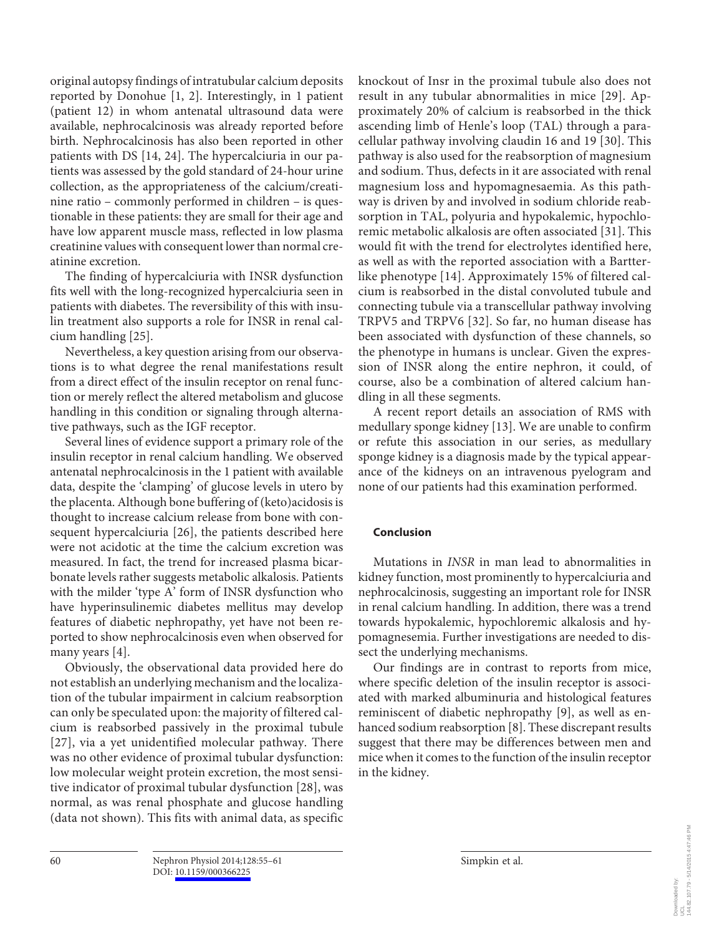original autopsy findings of intratubular calcium deposits reported by Donohue [1, 2]. Interestingly, in 1 patient (patient 12) in whom antenatal ultrasound data were available, nephrocalcinosis was already reported before birth. Nephrocalcinosis has also been reported in other patients with DS [14, 24]. The hypercalciuria in our patients was assessed by the gold standard of 24-hour urine collection, as the appropriateness of the calcium/creatinine ratio – commonly performed in children – is questionable in these patients: they are small for their age and have low apparent muscle mass, reflected in low plasma creatinine values with consequent lower than normal creatinine excretion.

 The finding of hypercalciuria with INSR dysfunction fits well with the long-recognized hypercalciuria seen in patients with diabetes. The reversibility of this with insulin treatment also supports a role for INSR in renal calcium handling [25] .

 Nevertheless, a key question arising from our observations is to what degree the renal manifestations result from a direct effect of the insulin receptor on renal function or merely reflect the altered metabolism and glucose handling in this condition or signaling through alternative pathways, such as the IGF receptor.

 Several lines of evidence support a primary role of the insulin receptor in renal calcium handling. We observed antenatal nephrocalcinosis in the 1 patient with available data, despite the 'clamping' of glucose levels in utero by the placenta. Although bone buffering of (keto)acidosis is thought to increase calcium release from bone with consequent hypercalciuria [26], the patients described here were not acidotic at the time the calcium excretion was measured. In fact, the trend for increased plasma bicarbonate levels rather suggests metabolic alkalosis. Patients with the milder 'type A' form of INSR dysfunction who have hyperinsulinemic diabetes mellitus may develop features of diabetic nephropathy, yet have not been reported to show nephrocalcinosis even when observed for many years [4].

 Obviously, the observational data provided here do not establish an underlying mechanism and the localization of the tubular impairment in calcium reabsorption can only be speculated upon: the majority of filtered calcium is reabsorbed passively in the proximal tubule [27], via a yet unidentified molecular pathway. There was no other evidence of proximal tubular dysfunction: low molecular weight protein excretion, the most sensitive indicator of proximal tubular dysfunction [28], was normal, as was renal phosphate and glucose handling (data not shown). This fits with animal data, as specific

knockout of Insr in the proximal tubule also does not result in any tubular abnormalities in mice [29]. Approximately 20% of calcium is reabsorbed in the thick ascending limb of Henle's loop (TAL) through a paracellular pathway involving claudin 16 and 19 [30] . This pathway is also used for the reabsorption of magnesium and sodium. Thus, defects in it are associated with renal magnesium loss and hypomagnesaemia. As this pathway is driven by and involved in sodium chloride reabsorption in TAL, polyuria and hypokalemic, hypochloremic metabolic alkalosis are often associated [31] . This would fit with the trend for electrolytes identified here, as well as with the reported association with a Bartterlike phenotype [14] . Approximately 15% of filtered calcium is reabsorbed in the distal convoluted tubule and connecting tubule via a transcellular pathway involving TRPV5 and TRPV6 [32]. So far, no human disease has been associated with dysfunction of these channels, so the phenotype in humans is unclear. Given the expression of INSR along the entire nephron, it could, of course, also be a combination of altered calcium handling in all these segments.

 A recent report details an association of RMS with medullary sponge kidney [13] . We are unable to confirm or refute this association in our series, as medullary sponge kidney is a diagnosis made by the typical appearance of the kidneys on an intravenous pyelogram and none of our patients had this examination performed.

## **Conclusion**

 Mutations in *INSR* in man lead to abnormalities in kidney function, most prominently to hypercalciuria and nephrocalcinosis, suggesting an important role for INSR in renal calcium handling. In addition, there was a trend towards hypokalemic, hypochloremic alkalosis and hypomagnesemia. Further investigations are needed to dissect the underlying mechanisms.

 Our findings are in contrast to reports from mice, where specific deletion of the insulin receptor is associated with marked albuminuria and histological features reminiscent of diabetic nephropathy [9], as well as enhanced sodium reabsorption [8]. These discrepant results suggest that there may be differences between men and mice when it comes to the function of the insulin receptor in the kidney.

Downloaded by: